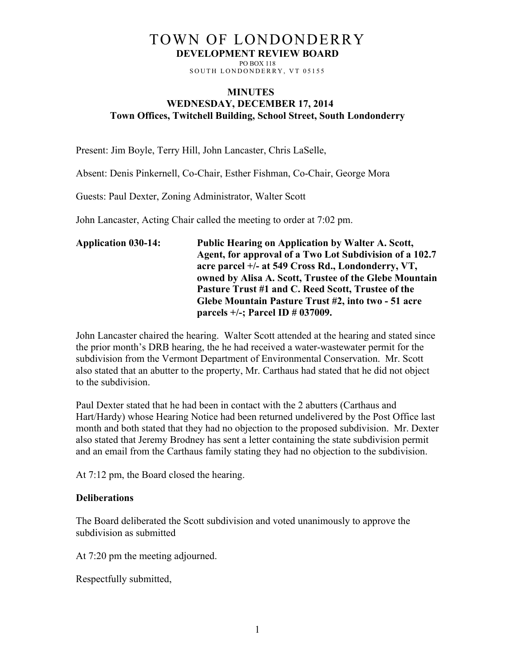## TOWN OF LONDONDERRY **DEVELOPMENT REVIEW BOARD**

PO BOX 118 SOUTH LONDONDERRY, VT 05155

## **MINUTES WEDNESDAY, DECEMBER 17, 2014 Town Offices, Twitchell Building, School Street, South Londonderry**

Present: Jim Boyle, Terry Hill, John Lancaster, Chris LaSelle,

Absent: Denis Pinkernell, Co-Chair, Esther Fishman, Co-Chair, George Mora

Guests: Paul Dexter, Zoning Administrator, Walter Scott

John Lancaster, Acting Chair called the meeting to order at 7:02 pm.

| <b>Application 030-14:</b> | <b>Public Hearing on Application by Walter A. Scott,</b> |
|----------------------------|----------------------------------------------------------|
|                            | Agent, for approval of a Two Lot Subdivision of a 102.7  |
|                            | acre parcel +/- at 549 Cross Rd., Londonderry, VT,       |
|                            | owned by Alisa A. Scott, Trustee of the Glebe Mountain   |
|                            | Pasture Trust #1 and C. Reed Scott, Trustee of the       |
|                            | Glebe Mountain Pasture Trust #2, into two - 51 acre      |
|                            | parcels $+/-$ ; Parcel ID $\#$ 037009.                   |

John Lancaster chaired the hearing. Walter Scott attended at the hearing and stated since the prior month's DRB hearing, the he had received a water-wastewater permit for the subdivision from the Vermont Department of Environmental Conservation. Mr. Scott also stated that an abutter to the property, Mr. Carthaus had stated that he did not object to the subdivision.

Paul Dexter stated that he had been in contact with the 2 abutters (Carthaus and Hart/Hardy) whose Hearing Notice had been returned undelivered by the Post Office last month and both stated that they had no objection to the proposed subdivision. Mr. Dexter also stated that Jeremy Brodney has sent a letter containing the state subdivision permit and an email from the Carthaus family stating they had no objection to the subdivision.

At 7:12 pm, the Board closed the hearing.

## **Deliberations**

The Board deliberated the Scott subdivision and voted unanimously to approve the subdivision as submitted

At 7:20 pm the meeting adjourned.

Respectfully submitted,